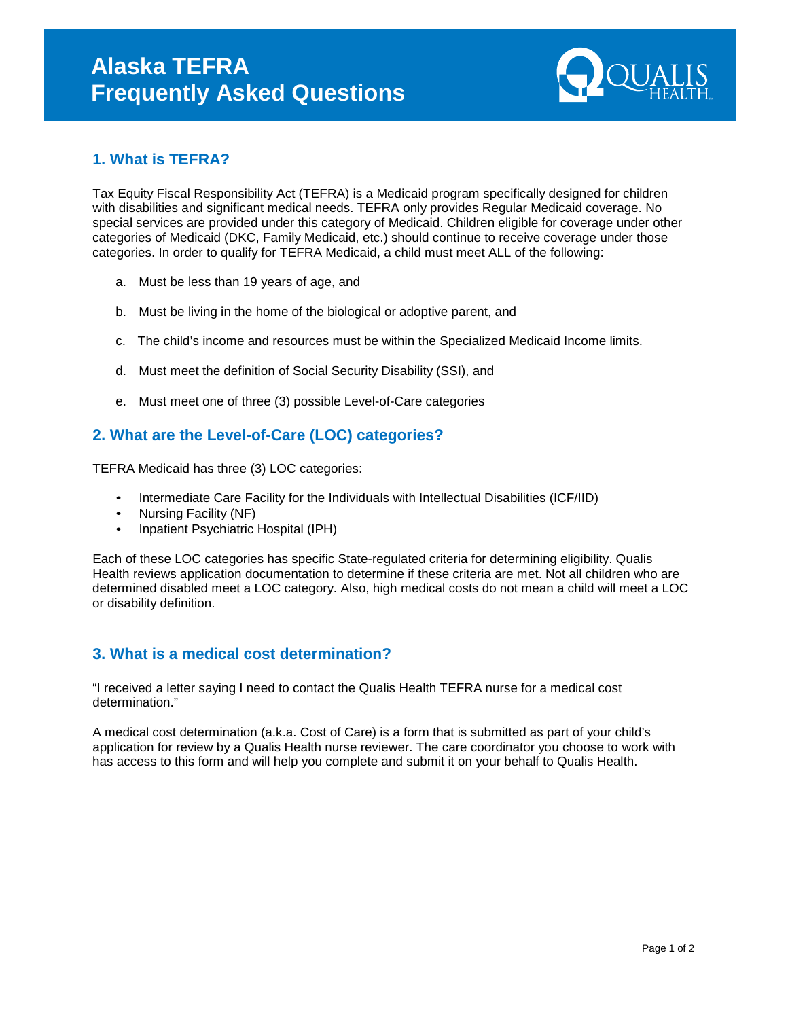

### **1. What is TEFRA?**

Tax Equity Fiscal Responsibility Act (TEFRA) is a Medicaid program specifically designed for children with disabilities and significant medical needs. TEFRA only provides Regular Medicaid coverage. No special services are provided under this category of Medicaid. Children eligible for coverage under other categories of Medicaid (DKC, Family Medicaid, etc.) should continue to receive coverage under those categories. In order to qualify for TEFRA Medicaid, a child must meet ALL of the following:

- a. Must be less than 19 years of age, and
- b. Must be living in the home of the biological or adoptive parent, and
- c. The child's income and resources must be within the Specialized Medicaid Income limits.
- d. Must meet the definition of Social Security Disability (SSI), and
- e. Must meet one of three (3) possible Level-of-Care categories

### **2. What are the Level-of-Care (LOC) categories?**

TEFRA Medicaid has three (3) LOC categories:

- Intermediate Care Facility for the Individuals with Intellectual Disabilities (ICF/IID)
- Nursing Facility (NF)
- Inpatient Psychiatric Hospital (IPH)

Each of these LOC categories has specific State-regulated criteria for determining eligibility. Qualis Health reviews application documentation to determine if these criteria are met. Not all children who are determined disabled meet a LOC category. Also, high medical costs do not mean a child will meet a LOC or disability definition.

#### **3. What is a medical cost determination?**

"I received a letter saying I need to contact the Qualis Health TEFRA nurse for a medical cost determination."

A medical cost determination (a.k.a. Cost of Care) is a form that is submitted as part of your child's application for review by a Qualis Health nurse reviewer. The care coordinator you choose to work with has access to this form and will help you complete and submit it on your behalf to Qualis Health.